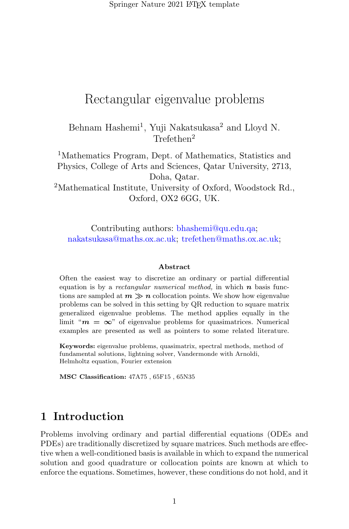Springer Nature 2021 LAT<sub>EX</sub> template

# Rectangular eigenvalue problems

Behnam Hashemi<sup>1</sup>, Yuji Nakatsukasa<sup>2</sup> and Lloyd N. Trefethen<sup>2</sup>

<sup>1</sup>Mathematics Program, Dept. of Mathematics, Statistics and Physics, College of Arts and Sciences, Qatar University, 2713, Doha, Qatar.

<sup>2</sup>Mathematical Institute, University of Oxford, Woodstock Rd., Oxford, OX2 6GG, UK.

Contributing authors: bhashemi@qu.edu.qa; nakatsukasa@maths.ox.ac.uk; trefethen@maths.ox.ac.uk;

#### Abstract

Often the easiest way to discretize an ordinary or partial differential equation is by a rectangular numerical method, in which  $n$  basis functions are sampled at  $m \gg n$  collocation points. We show how eigenvalue problems can be solved in this setting by QR reduction to square matrix generalized eigenvalue problems. The method applies equally in the limit " $m = \infty$ " of eigenvalue problems for quasimatrices. Numerical examples are presented as well as pointers to some related literature.

Keywords: eigenvalue problems, quasimatrix, spectral methods, method of fundamental solutions, lightning solver, Vandermonde with Arnoldi, Helmholtz equation, Fourier extension

MSC Classification: 47A75 , 65F15 , 65N35

### 1 Introduction

Problems involving ordinary and partial differential equations (ODEs and PDEs) are traditionally discretized by square matrices. Such methods are effective when a well-conditioned basis is available in which to expand the numerical solution and good quadrature or collocation points are known at which to enforce the equations. Sometimes, however, these conditions do not hold, and it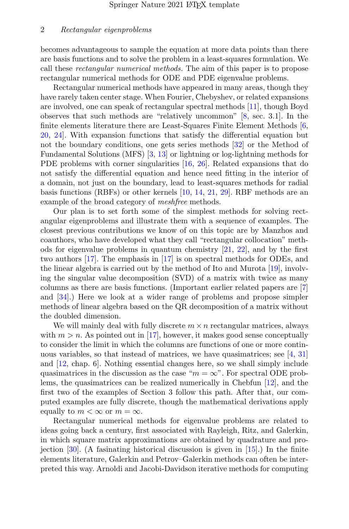becomes advantageous to sample the equation at more data points than there are basis functions and to solve the problem in a least-squares formulation. We call these *rectangular numerical methods.* The aim of this paper is to propose rectangular numerical methods for ODE and PDE eigenvalue problems.

Rectangular numerical methods have appeared in many areas, though they have rarely taken center stage. When Fourier, Chebyshev, or related expansions are involved, one can speak of rectangular spectral methods [\[11](#page-14-0)], though Boyd observes that such methods are "relatively uncommon" [\[8](#page-14-1), sec. 3.1]. In the finite elements literature there are Least-Squares Finite Element Methods [\[6,](#page-14-2) [20,](#page-15-0) [24](#page-15-1)]. With expansion functions that satisfy the differential equation but not the boundary conditions, one gets series methods [\[32](#page-16-0)] or the Method of Fundamental Solutions (MFS) [\[3](#page-14-3), [13\]](#page-14-4) or lightning or log-lightning methods for PDE problems with corner singularities [\[16](#page-15-2), [26\]](#page-15-3). Related expansions that do not satisfy the differential equation and hence need fitting in the interior of a domain, not just on the boundary, lead to least-squares methods for radial basis functions (RBFs) or other kernels [\[10](#page-14-5), [14](#page-14-6), [21,](#page-15-4) [29\]](#page-16-1). RBF methods are an example of the broad category of *meshfree* methods.

Our plan is to set forth some of the simplest methods for solving rectangular eigenproblems and illustrate them with a sequence of examples. The closest previous contributions we know of on this topic are by Manzhos and coauthors, who have developed what they call "rectangular collocation" methods for eigenvalue problems in quantum chemistry [\[21,](#page-15-4) [22\]](#page-15-5), and by the first two authors [\[17\]](#page-15-6). The emphasis in [\[17\]](#page-15-6) is on spectral methods for ODEs, and the linear algebra is carried out by the method of Ito and Murota [\[19\]](#page-15-7), involving the singular value decomposition (SVD) of a matrix with twice as many columns as there are basis functions. (Important earlier related papers are [\[7\]](#page-14-7) and [\[34](#page-16-2)].) Here we look at a wider range of problems and propose simpler methods of linear algebra based on the QR decomposition of a matrix without the doubled dimension.

We will mainly deal with fully discrete  $m \times n$  rectangular matrices, always with  $m > n$ . As pointed out in [\[17\]](#page-15-6), however, it makes good sense conceptually to consider the limit in which the columns are functions of one or more continuous variables, so that instead of matrices, we have quasimatrices; see [\[4](#page-14-8), [31\]](#page-16-3) and [\[12,](#page-14-9) chap. 6]. Nothing essential changes here, so we shall simply include quasimatrices in the discussion as the case " $m = \infty$ ". For spectral ODE problems, the quasimatrices can be realized numerically in Chebfun [\[12\]](#page-14-9), and the first two of the examples of Section 3 follow this path. After that, our computed examples are fully discrete, though the mathematical derivations apply equally to  $m < \infty$  or  $m = \infty$ .

Rectangular numerical methods for eigenvalue problems are related to ideas going back a century, first associated with Rayleigh, Ritz, and Galerkin, in which square matrix approximations are obtained by quadrature and projection [\[30\]](#page-16-4). (A fasinating historical discussion is given in [\[15\]](#page-14-10).) In the finite elements literature, Galerkin and Petrov–Galerkin methods can often be interpreted this way. Arnoldi and Jacobi-Davidson iterative methods for computing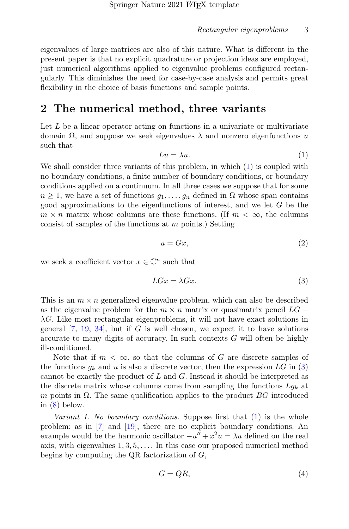eigenvalues of large matrices are also of this nature. What is different in the present paper is that no explicit quadrature or projection ideas are employed, just numerical algorithms applied to eigenvalue problems configured rectangularly. This diminishes the need for case-by-case analysis and permits great flexibility in the choice of basis functions and sample points.

## 2 The numerical method, three variants

Let  $L$  be a linear operator acting on functions in a univariate or multivariate domain Ω, and suppose we seek eigenvalues  $\lambda$  and nonzero eigenfunctions u such that

<span id="page-2-0"></span>
$$
Lu = \lambda u.\tag{1}
$$

We shall consider three variants of this problem, in which  $(1)$  is coupled with no boundary conditions, a finite number of boundary conditions, or boundary conditions applied on a continuum. In all three cases we suppose that for some  $n \geq 1$ , we have a set of functions  $g_1, \ldots, g_n$  defined in  $\Omega$  whose span contains good approximations to the eigenfunctions of interest, and we let G be the  $m \times n$  matrix whose columns are these functions. (If  $m < \infty$ , the columns consist of samples of the functions at  $m$  points.) Setting

<span id="page-2-2"></span>
$$
u = Gx,\tag{2}
$$

we seek a coefficient vector  $x \in \mathbb{C}^n$  such that

<span id="page-2-1"></span>
$$
LGx = \lambda Gx.\tag{3}
$$

This is an  $m \times n$  generalized eigenvalue problem, which can also be described as the eigenvalue problem for the  $m \times n$  matrix or quasimatrix pencil  $LG \lambda$ G. Like most rectangular eigenproblems, it will not have exact solutions in general  $[7, 19, 34]$  $[7, 19, 34]$  $[7, 19, 34]$  $[7, 19, 34]$ , but if G is well chosen, we expect it to have solutions accurate to many digits of accuracy. In such contexts  $G$  will often be highly ill-conditioned.

Note that if  $m < \infty$ , so that the columns of G are discrete samples of the functions  $g_k$  and u is also a discrete vector, then the expression LG in [\(3\)](#page-2-1) cannot be exactly the product of  $L$  and  $G$ . Instead it should be interpreted as the discrete matrix whose columns come from sampling the functions  $Lg_k$  at m points in  $\Omega$ . The same qualification applies to the product BG introduced in [\(8\)](#page-3-0) below.

*Variant 1. No boundary conditions.* Suppose first that [\(1\)](#page-2-0) is the whole problem: as in [\[7\]](#page-14-7) and [\[19\]](#page-15-7), there are no explicit boundary conditions. An example would be the harmonic oscillator  $-u'' + x^2u = \lambda u$  defined on the real axis, with eigenvalues  $1, 3, 5, \ldots$  In this case our proposed numerical method begins by computing the QR factorization of  $G$ ,

$$
G = QR,\tag{4}
$$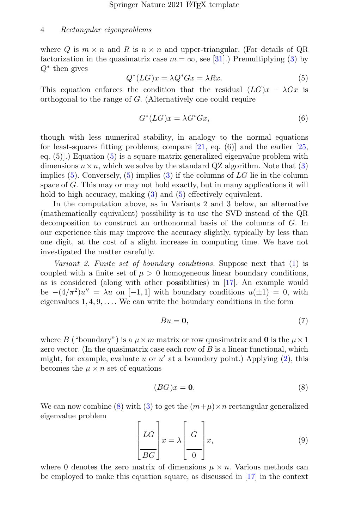where Q is  $m \times n$  and R is  $n \times n$  and upper-triangular. (For details of QR factorization in the quasimatrix case  $m = \infty$ , see [\[31\]](#page-16-3).) Premultiplying [\(3\)](#page-2-1) by  $Q^*$  then gives

<span id="page-3-1"></span>
$$
Q^*(LG)x = \lambda Q^*Gx = \lambda Rx.
$$
\n(5)

This equation enforces the condition that the residual  $(LG)x - \lambda Gx$  is orthogonal to the range of G. (Alternatively one could require

<span id="page-3-4"></span>
$$
G^*(LG)x = \lambda G^*Gx,\tag{6}
$$

though with less numerical stability, in analogy to the normal equations for least-squares fitting problems; compare  $[21, eq. (6)]$  and the earlier  $[25,$ eq. (5)].) Equation [\(5\)](#page-3-1) is a square matrix generalized eigenvalue problem with dimensions  $n \times n$ , which we solve by the standard QZ algorithm. Note that [\(3\)](#page-2-1) implies  $(5)$ . Conversely,  $(5)$  implies  $(3)$  if the columns of LG lie in the column space of G. This may or may not hold exactly, but in many applications it will hold to high accuracy, making  $(3)$  and  $(5)$  effectively equivalent.

In the computation above, as in Variants 2 and 3 below, an alternative (mathematically equivalent) possibility is to use the SVD instead of the QR decomposition to construct an orthonormal basis of the columns of G. In our experience this may improve the accuracy slightly, typically by less than one digit, at the cost of a slight increase in computing time. We have not investigated the matter carefully.

*Variant 2. Finite set of boundary conditions.* Suppose next that [\(1\)](#page-2-0) is coupled with a finite set of  $\mu > 0$  homogeneous linear boundary conditions, as is considered (along with other possibilities) in [\[17](#page-15-6)]. An example would be  $-(4/\pi^2)u'' = \lambda u$  on [-1, 1] with boundary conditions  $u(\pm 1) = 0$ , with eigenvalues  $1, 4, 9, \ldots$ . We can write the boundary conditions in the form

<span id="page-3-2"></span>
$$
Bu = \mathbf{0},\tag{7}
$$

where B ("boundary") is a  $\mu \times m$  matrix or row quasimatrix and **0** is the  $\mu \times 1$ zero vector. (In the quasimatrix case each row of  $B$  is a linear functional, which might, for example, evaluate  $u$  or  $u'$  at a boundary point.) Applying  $(2)$ , this becomes the  $\mu \times n$  set of equations

<span id="page-3-0"></span>
$$
(BG)x = \mathbf{0}.\tag{8}
$$

We can now combine [\(8\)](#page-3-0) with [\(3\)](#page-2-1) to get the  $(m+u)\times n$  rectangular generalized eigenvalue problem

<span id="page-3-3"></span>
$$
\left[\frac{LG}{BG}\right]x = \lambda \left[\frac{G}{0}\right]x,\tag{9}
$$

where 0 denotes the zero matrix of dimensions  $\mu \times n$ . Various methods can be employed to make this equation square, as discussed in [\[17](#page-15-6)] in the context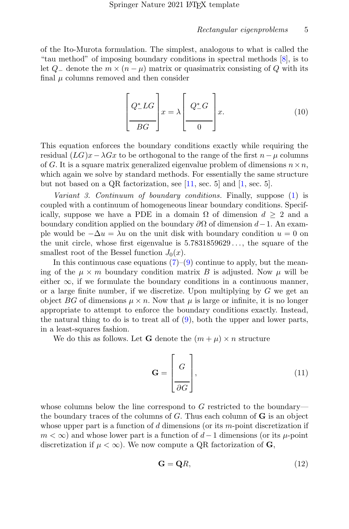of the Ito-Murota formulation. The simplest, analogous to what is called the "tau method" of imposing boundary conditions in spectral methods [\[8](#page-14-1)], is to let  $Q_{-}$  denote the  $m \times (n - \mu)$  matrix or quasimatrix consisting of Q with its final  $\mu$  columns removed and then consider

<span id="page-4-0"></span>
$$
\left[\frac{Q_{-}^{*}LG}{BG}\right]x = \lambda \left[\frac{Q_{-}^{*}G}{0}\right]x.
$$
 (10)

This equation enforces the boundary conditions exactly while requiring the residual  $(LG)x-\lambda Gx$  to be orthogonal to the range of the first  $n-\mu$  columns of G. It is a square matrix generalized eigenvalue problem of dimensions  $n \times n$ , which again we solve by standard methods. For essentially the same structure but not based on a QR factorization, see [\[11,](#page-14-0) sec. 5] and [\[1,](#page-14-11) sec. 5].

*Variant 3. Continuum of boundary conditions.* Finally, suppose [\(1\)](#page-2-0) is coupled with a continuum of homogeneous linear boundary conditions. Specifically, suppose we have a PDE in a domain  $\Omega$  of dimension  $d \geq 2$  and a boundary condition applied on the boundary  $\partial\Omega$  of dimension  $d-1$ . An example would be  $-\Delta u = \lambda u$  on the unit disk with boundary condition  $u = 0$  on the unit circle, whose first eigenvalue is  $5.7831859629\dots$ , the square of the smallest root of the Bessel function  $J_0(x)$ .

In this continuous case equations  $(7)-(9)$  $(7)-(9)$  continue to apply, but the meaning of the  $\mu \times m$  boundary condition matrix B is adjusted. Now  $\mu$  will be either  $\infty$ , if we formulate the boundary conditions in a continuous manner, or a large finite number, if we discretize. Upon multiplying by  $G$  we get an object BG of dimensions  $\mu \times n$ . Now that  $\mu$  is large or infinite, it is no longer appropriate to attempt to enforce the boundary conditions exactly. Instead, the natural thing to do is to treat all of  $(9)$ , both the upper and lower parts, in a least-squares fashion.

We do this as follows. Let **G** denote the  $(m + \mu) \times n$  structure

$$
\mathbf{G} = \begin{bmatrix} G \\ \frac{\partial G}{\partial G} \end{bmatrix},\tag{11}
$$

whose columns below the line correspond to  $G$  restricted to the boundary the boundary traces of the columns of  $G$ . Thus each column of  $G$  is an object whose upper part is a function of  $d$  dimensions (or its m-point discretization if  $m < \infty$ ) and whose lower part is a function of  $d-1$  dimensions (or its  $\mu$ -point discretization if  $\mu < \infty$ ). We now compute a QR factorization of **G**,

$$
\mathbf{G} = \mathbf{Q}R,\tag{12}
$$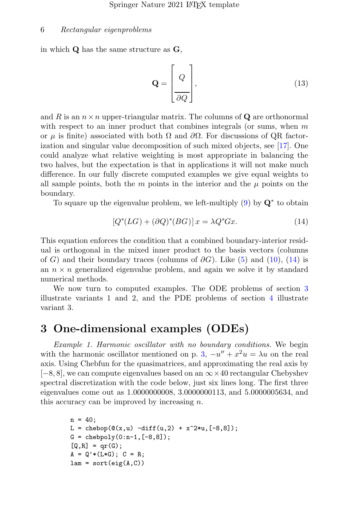in which Q has the same structure as G,

$$
\mathbf{Q} = \begin{bmatrix} Q \\ \frac{\partial Q}{\partial Q} \end{bmatrix},\tag{13}
$$

and R is an  $n \times n$  upper-triangular matrix. The columns of Q are orthonormal with respect to an inner product that combines integrals (or sums, when  $m$ or  $\mu$  is finite) associated with both  $\Omega$  and  $\partial\Omega$ . For discussions of QR factorization and singular value decomposition of such mixed objects, see [\[17\]](#page-15-6). One could analyze what relative weighting is most appropriate in balancing the two halves, but the expectation is that in applications it will not make much difference. In our fully discrete computed examples we give equal weights to all sample points, both the  $m$  points in the interior and the  $\mu$  points on the boundary.

To square up the eigenvalue problem, we left-multiply  $(9)$  by  $\mathbf{Q}^*$  to obtain

<span id="page-5-0"></span>
$$
[Q^*(LG) + (\partial Q)^*(BG)]x = \lambda Q^*Gx.
$$
\n(14)

This equation enforces the condition that a combined boundary-interior residual is orthogonal in the mixed inner product to the basis vectors (columns of G) and their boundary traces (columns of  $\partial G$ ). Like [\(5\)](#page-3-1) and [\(10\)](#page-4-0), [\(14\)](#page-5-0) is an  $n \times n$  generalized eigenvalue problem, and again we solve it by standard numerical methods.

We now turn to computed examples. The ODE problems of section [3](#page-5-1) illustrate variants 1 and 2, and the PDE problems of section [4](#page-8-0) illustrate variant 3.

## <span id="page-5-1"></span>3 One-dimensional examples (ODEs)

*Example 1. Harmonic oscillator with no boundary conditions.* We begin with the harmonic oscillator mentioned on p. [3,](#page-2-1)  $-u'' + x^2u = \lambda u$  on the real axis. Using Chebfun for the quasimatrices, and approximating the real axis by  $[-8, 8]$ , we can compute eigenvalues based on an  $\infty \times 40$  rectangular Chebyshev spectral discretization with the code below, just six lines long. The first three eigenvalues come out as 1.0000000008, 3.0000000113, and 5.0000005634, and this accuracy can be improved by increasing  $n$ .

```
n = 40:
L = \text{chebop}(\mathbb{Q}(x, u) -\text{diff}(u, 2) + x^2 * u, [-8, 8]);G = \text{chebpoly}(0:n-1, [-8, 8]);
[Q,R] = qr(G);A = Q' * (L * G); C = R;
lam = sort(eig(A, C))
```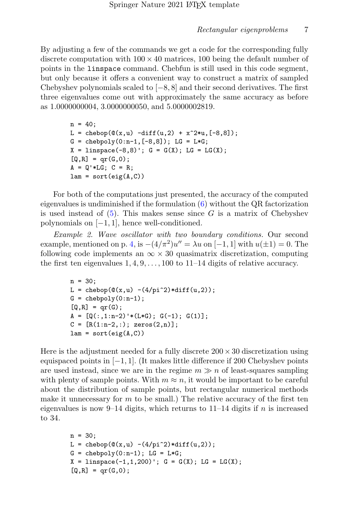By adjusting a few of the commands we get a code for the corresponding fully discrete computation with  $100 \times 40$  matrices, 100 being the default number of points in the linspace command. Chebfun is still used in this code segment, but only because it offers a convenient way to construct a matrix of sampled Chebyshev polynomials scaled to  $[-8, 8]$  and their second derivatives. The first three eigenvalues come out with approximately the same accuracy as before as 1.0000000004, 3.0000000050, and 5.0000002819.

```
n = 40;
L = \text{chebop}(\mathbb{Q}(x, u) -\text{diff}(u, 2) + x^2 * u, [-8, 8]);G = \text{chebpoly}(0:n-1, [-8, 8]); LG = L*G;
X = \text{linspace}(-8,8)'; G = G(X); LG = LG(X);
[Q,R] = qr(G,0);A = Q' * LG; C = R;lam = sort(eig(A, C))
```
For both of the computations just presented, the accuracy of the computed eigenvalues is undiminished if the formulation  $(6)$  without the QR factorization is used instead of  $(5)$ . This makes sense since G is a matrix of Chebyshev polynomials on [−1, 1], hence well-conditioned.

*Example 2. Wave oscillator with two boundary conditions.* Our second example, mentioned on p. [4,](#page-3-4) is  $-(4/\pi^2)u'' = \lambda u$  on  $[-1, 1]$  with  $u(\pm 1) = 0$ . The following code implements an  $\infty \times 30$  quasimatrix discretization, computing the first ten eigenvalues  $1, 4, 9, \ldots, 100$  to  $11-14$  digits of relative accuracy.

```
n = 30;
L = chebop(\mathcal{O}(x,u) - (4/pi^2)*diff(u,2));G = \text{chebpoly}(0:n-1);[Q,R] = qr(G);A = [Q(:,1:n-2)'*(L*G); G(-1); G(1)];C = [R(1:n-2,:); zeros(2,n)];lam = sort(eig(A, C))
```
Here is the adjustment needed for a fully discrete  $200 \times 30$  discretization using equispaced points in  $[-1, 1]$ . (It makes little difference if 200 Chebyshev points are used instead, since we are in the regime  $m \gg n$  of least-squares sampling with plenty of sample points. With  $m \approx n$ , it would be important to be careful about the distribution of sample points, but rectangular numerical methods make it unnecessary for  $m$  to be small.) The relative accuracy of the first ten eigenvalues is now 9–14 digits, which returns to  $11-14$  digits if n is increased to 34.

```
n = 30;L = chebop(\mathcal{O}(x,u) - (4/pi^2)*diff(u,2));G = \text{chebpoly}(0:n-1); LG = L*G;X = \text{linspace}(-1, 1, 200)'; G = G(X); LG = LG(X);
[Q,R] = qr(G,0);
```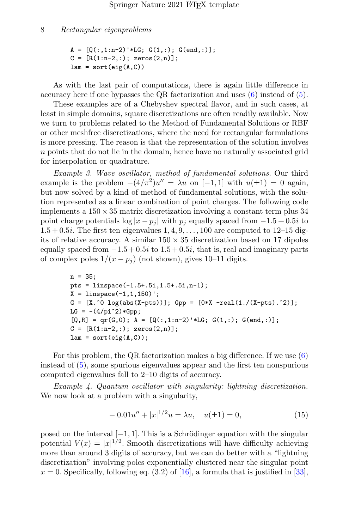```
A = [Q(:,1:n-2)'*LG; G(1,:); G(end,:)];C = [R(1:n-2,:); zeros(2,n)];lam = sort(eig(A, C))
```
As with the last pair of computations, there is again little difference in accuracy here if one bypasses the QR factorization and uses [\(6\)](#page-3-4) instead of [\(5\)](#page-3-1).

These examples are of a Chebyshev spectral flavor, and in such cases, at least in simple domains, square discretizations are often readily available. Now we turn to problems related to the Method of Fundamental Solutions or RBF or other meshfree discretizations, where the need for rectangular formulations is more pressing. The reason is that the representation of the solution involves  $n$  points that do not lie in the domain, hence have no naturally associated grid for interpolation or quadrature.

*Example 3. Wave oscillator, method of fundamental solutions.* Our third example is the problem  $-(4/\pi^2)u'' = \lambda u$  on [-1, 1] with  $u(\pm 1) = 0$  again, but now solved by a kind of method of fundamental solutions, with the solution represented as a linear combination of point charges. The following code implements a  $150 \times 35$  matrix discretization involving a constant term plus 34 point charge potentials  $\log |x - p_i|$  with  $p_i$  equally spaced from  $-1.5 + 0.5i$  to  $1.5 + 0.5i$ . The first ten eigenvalues  $1, 4, 9, \ldots, 100$  are computed to  $12-15$  digits of relative accuracy. A similar  $150 \times 35$  discretization based on 17 dipoles equally spaced from  $-1.5 + 0.5i$  to  $1.5 + 0.5i$ , that is, real and imaginary parts of complex poles  $1/(x - p_i)$  (not shown), gives 10–11 digits.

```
n = 35;
pts = linspace(-1.5+.5i,1.5+.5i,n-1);
X = \text{linspace}(-1, 1, 150)';
G = [X.\hat{O} \log(abs(X-pts))]; Gpp = [0*X -real(1./(X-pts).\hat{O})];
LG = -(4/pi^2)*Gpp;[Q,R] = qr(G,0); A = [Q(:,1:n-2)'*LG; G(1,:); G(end,:)];C = [R(1:n-2,:); zeros(2,n)];lam = sort(eig(A, C));
```
For this problem, the QR factorization makes a big difference. If we use [\(6\)](#page-3-4) instead of [\(5\)](#page-3-1), some spurious eigenvalues appear and the first ten nonspurious computed eigenvalues fall to 2–10 digits of accuracy.

*Example 4. Quantum oscillator with singularity: lightning discretization.* We now look at a problem with a singularity,

<span id="page-7-0"></span>
$$
-0.01u'' + |x|^{1/2}u = \lambda u, \quad u(\pm 1) = 0,
$$
\n(15)

posed on the interval  $[-1, 1]$ . This is a Schrödinger equation with the singular potential  $V(x) = |x|^{1/2}$ . Smooth discretizations will have difficulty achieving more than around 3 digits of accuracy, but we can do better with a "lightning discretization" involving poles exponentially clustered near the singular point  $x = 0$ . Specifically, following eq. (3.2) of [\[16](#page-15-2)], a formula that is justified in [\[33\]](#page-16-5),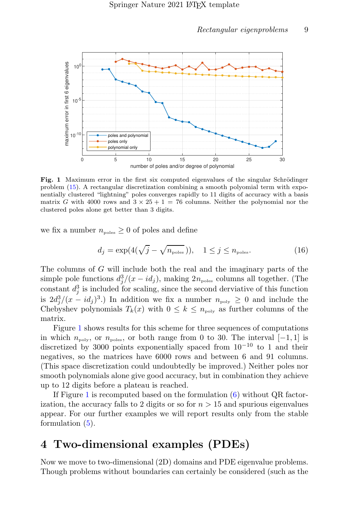

<span id="page-8-1"></span>Fig. 1 Maximum error in the first six computed eigenvalues of the singular Schrödinger problem [\(15\)](#page-7-0). A rectangular discretization combining a smooth polyomial term with exponentially clustered "lightning" poles converges rapidly to 11 digits of accuracy with a basis matrix G with 4000 rows and  $3 \times 25 + 1 = 76$  columns. Neither the polynomial nor the clustered poles alone get better than 3 digits.

we fix a number  $n_{\text{poles}} \geq 0$  of poles and define

$$
d_j = \exp(4(\sqrt{j} - \sqrt{n_{\text{poles}}}))
$$
\n
$$
1 \le j \le n_{\text{poles}}.
$$
\n(16)

The columns of G will include both the real and the imaginary parts of the simple pole functions  $d_j^3/(x - id_j)$ , making  $2n_{\text{poles}}$  columns all together. (The constant  $d_j^3$  is included for scaling, since the second derviative of this function is  $2d_j^3/(x - id_j)^3$ .) In addition we fix a number  $n_{\text{poly}} \geq 0$  and include the Chebyshev polynomials  $T_k(x)$  with  $0 \leq k \leq n_{\text{poly}}$  as further columns of the matrix.

Figure [1](#page-8-1) shows results for this scheme for three sequences of computations in which  $n_{\text{poly}}$ , or  $n_{\text{poles}}$ , or both range from 0 to 30. The interval [−1, 1] is discretized by 3000 points exponentially spaced from  $10^{-10}$  to 1 and their negatives, so the matrices have 6000 rows and between 6 and 91 columns. (This space discretization could undoubtedly be improved.) Neither poles nor smooth polynomials alone give good accuracy, but in combination they achieve up to 12 digits before a plateau is reached.

If Figure [1](#page-8-1) is recomputed based on the formulation  $(6)$  without QR factorization, the accuracy falls to 2 digits or so for  $n > 15$  and spurious eigenvalues appear. For our further examples we will report results only from the stable formulation  $(5)$ .

# <span id="page-8-0"></span>4 Two-dimensional examples (PDEs)

Now we move to two-dimensional (2D) domains and PDE eigenvalue problems. Though problems without boundaries can certainly be considered (such as the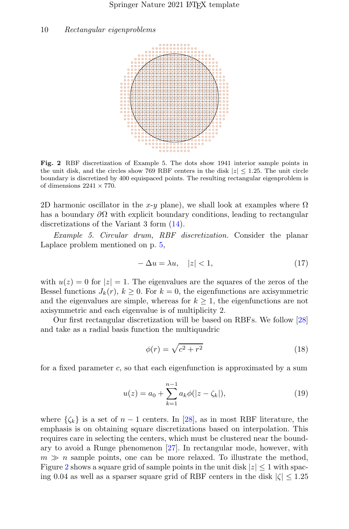

<span id="page-9-0"></span>Fig. 2 RBF discretization of Example 5. The dots show 1941 interior sample points in the unit disk, and the circles show 769 RBF centers in the disk  $|z| \leq 1.25$ . The unit circle boundary is discretized by 400 equispaced points. The resulting rectangular eigenproblem is of dimensions  $2241 \times 770$ .

2D harmonic oscillator in the x-y plane), we shall look at examples where  $\Omega$ has a boundary  $\partial\Omega$  with explicit boundary conditions, leading to rectangular discretizations of the Variant 3 form [\(14\)](#page-5-0).

*Example 5. Circular drum, RBF discretization.* Consider the planar Laplace problem mentioned on p. [5,](#page-4-0)

<span id="page-9-3"></span>
$$
-\Delta u = \lambda u, \quad |z| < 1,\tag{17}
$$

with  $u(z) = 0$  for  $|z| = 1$ . The eigenvalues are the squares of the zeros of the Bessel functions  $J_k(r)$ ,  $k \geq 0$ . For  $k = 0$ , the eigenfunctions are axisymmetric and the eigenvalues are simple, whereas for  $k \geq 1$ , the eigenfunctions are not axisymmetric and each eigenvalue is of multiplicity 2.

Our first rectangular discretization will be based on RBFs. We follow [\[28\]](#page-15-9) and take as a radial basis function the multiquadric

<span id="page-9-1"></span>
$$
\phi(r) = \sqrt{c^2 + r^2} \tag{18}
$$

for a fixed parameter c, so that each eigenfunction is approximated by a sum

<span id="page-9-2"></span>
$$
u(z) = a_0 + \sum_{k=1}^{n-1} a_k \phi(|z - \zeta_k|), \tag{19}
$$

where  $\{\zeta_k\}$  is a set of  $n-1$  centers. In [\[28\]](#page-15-9), as in most RBF literature, the emphasis is on obtaining square discretizations based on interpolation. This requires care in selecting the centers, which must be clustered near the boundary to avoid a Runge phenomenon [\[27](#page-15-10)]. In rectangular mode, however, with  $m \gg n$  sample points, one can be more relaxed. To illustrate the method, Figure [2](#page-9-0) shows a square grid of sample points in the unit disk  $|z| \leq 1$  with spacing 0.04 as well as a sparser square grid of RBF centers in the disk  $|\zeta| \leq 1.25$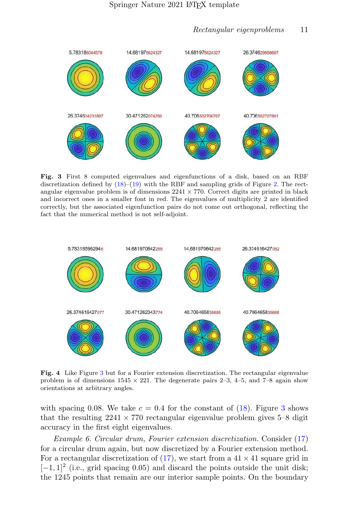

<span id="page-10-0"></span>Fig. 3 First 8 computed eigenvalues and eigenfunctions of a disk, based on an RBF discretization defined by  $(18)$ – $(19)$  with the RBF and sampling grids of Figure [2.](#page-9-0) The rectangular eigenvalue problem is of dimensions  $2241 \times 770$ . Correct digits are printed in black and incorrect ones in a smaller font in red. The eigenvalues of multiplicity 2 are identified correctly, but the associated eigenfunction pairs do not come out orthogonal, reflecting the fact that the numerical method is not self-adjoint.



<span id="page-10-1"></span>Fig. 4 Like Figure [3](#page-10-0) but for a Fourier extension discretization. The rectangular eigenvalue problem is of dimensions  $1545 \times 221$ . The degenerate pairs 2–3, 4–5, and 7–8 again show orientations at arbitrary angles.

with spacing 0.08. We take  $c = 0.4$  for the constant of [\(18\)](#page-9-1). Figure [3](#page-10-0) shows that the resulting  $2241 \times 770$  rectangular eigenvalue problem gives 5–8 digit accuracy in the first eight eigenvalues.

*Example 6. Circular drum, Fourier extension discretization.* Consider [\(17\)](#page-9-3) for a circular drum again, but now discretized by a Fourier extension method. For a rectangular discretization of  $(17)$ , we start from a  $41 \times 41$  square grid in [−1, 1]<sup>2</sup> (i.e., grid spacing 0.05) and discard the points outside the unit disk; the 1245 points that remain are our interior sample points. On the boundary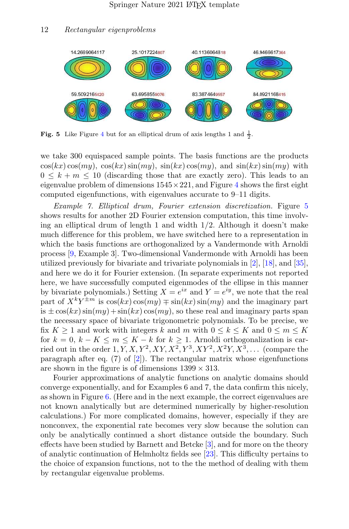

<span id="page-11-0"></span>**Fig. 5** Like Figure [4](#page-10-1) but for an elliptical drum of axis lengths 1 and  $\frac{1}{2}$ .

we take 300 equispaced sample points. The basis functions are the products  $\cos(kx)\cos(my), \cos(kx)\sin(my), \sin(kx)\cos(my),$  and  $\sin(kx)\sin(my)$  with  $0 \leq k + m \leq 10$  (discarding those that are exactly zero). This leads to an eigenvalue problem of dimensions  $1545 \times 221$  $1545 \times 221$  $1545 \times 221$ , and Figure 4 shows the first eight computed eigenfunctions, with eigenvalues accurate to 9–11 digits.

*Example 7. Elliptical drum, Fourier extension discretization.* Figure [5](#page-11-0) shows results for another 2D Fourier extension computation, this time involving an elliptical drum of length 1 and width 1/2. Although it doesn't make much difference for this problem, we have switched here to a representation in which the basis functions are orthogonalized by a Vandermonde with Arnoldi process [\[9](#page-14-12), Example 3]. Two-dimensional Vandermonde with Arnoldi has been utilized previously for bivariate and trivariate polynomials in [\[2\]](#page-14-13), [\[18](#page-15-11)], and [\[35\]](#page-16-6), and here we do it for Fourier extension. (In separate experiments not reported here, we have successfully computed eigenmodes of the ellipse in this manner by bivariate polynomials.) Setting  $X = e^{ix}$  and  $Y = e^{iy}$ , we note that the real part of  $X^k Y^{\pm m}$  is  $\cos(kx)\cos(my) \mp \sin(kx)\sin(my)$  and the imaginary part is  $\pm \cos(kx) \sin(my) + \sin(kx) \cos(my)$ , so these real and imaginary parts span the necessary space of bivariate trigonometric polynomials. To be precise, we fix  $K \geq 1$  and work with integers k and m with  $0 \leq k \leq K$  and  $0 \leq m \leq K$ for  $k = 0, k - K \le m \le K - k$  for  $k \ge 1$ . Arnoldi orthogonalization is carried out in the order  $1, Y, X, Y^2, XY, X^2, Y^3, XY^2, X^2Y, X^3, \ldots$  (compare the paragraph after eq.  $(7)$  of  $[2]$ ). The rectangular matrix whose eigenfunctions are shown in the figure is of dimensions  $1399 \times 313$ .

Fourier approximations of analytic functions on analytic domains should converge exponentially, and for Examples 6 and 7, the data confirm this nicely, as shown in Figure [6.](#page-12-0) (Here and in the next example, the correct eigenvalues are not known analytically but are determined numerically by higher-resolution calculations.) For more complicated domains, however, especially if they are nonconvex, the exponential rate becomes very slow because the solution can only be analytically continued a short distance outside the boundary. Such effects have been studied by Barnett and Betcke [\[3](#page-14-3)], and for more on the theory of analytic continuation of Helmholtz fields see [\[23](#page-15-12)]. This difficulty pertains to the choice of expansion functions, not to the the method of dealing with them by rectangular eigenvalue problems.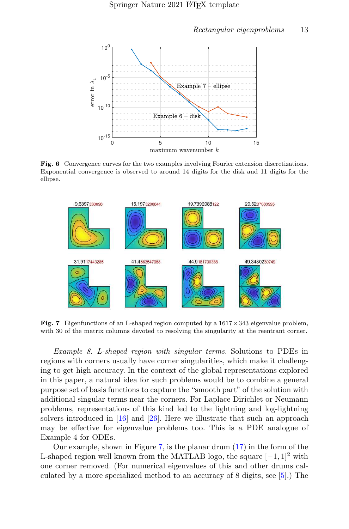

<span id="page-12-0"></span>Fig. 6 Convergence curves for the two examples involving Fourier extension discretizations. Exponential convergence is observed to around 14 digits for the disk and 11 digits for the ellipse.



<span id="page-12-1"></span>Fig. 7 Eigenfunctions of an L-shaped region computed by a  $1617 \times 343$  eigenvalue problem, with 30 of the matrix columns devoted to resolving the singularity at the reentrant corner.

*Example 8. L-shaped region with singular terms.* Solutions to PDEs in regions with corners usually have corner singularities, which make it challenging to get high accuracy. In the context of the global representations explored in this paper, a natural idea for such problems would be to combine a general purpose set of basis functions to capture the "smooth part" of the solution with additional singular terms near the corners. For Laplace Dirichlet or Neumann problems, representations of this kind led to the lightning and log-lightning solvers introduced in [\[16](#page-15-2)] and [\[26](#page-15-3)]. Here we illustrate that such an approach may be effective for eigenvalue problems too. This is a PDE analogue of Example 4 for ODEs.

Our example, shown in Figure [7,](#page-12-1) is the planar drum [\(17\)](#page-9-3) in the form of the L-shaped region well known from the MATLAB logo, the square  $[-1, 1]^2$  with one corner removed. (For numerical eigenvalues of this and other drums calculated by a more specialized method to an accuracy of 8 digits, see [\[5\]](#page-14-14).) The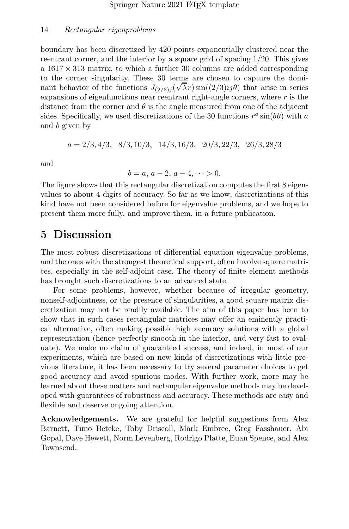boundary has been discretized by 420 points exponentially clustered near the reentrant corner, and the interior by a square grid of spacing 1/20. This gives a  $1617 \times 313$  matrix, to which a further 30 columns are added corresponding to the corner singularity. These 30 terms are chosen to capture the dominant behavior of the functions  $J_{(2/3)j}(\sqrt{\lambda}r)\sin((2/3)ij\theta)$  that arise in series expansions of eigenfunctions near reentrant right-angle corners, where  $r$  is the distance from the corner and  $\theta$  is the angle measured from one of the adjacent sides. Specifically, we used discretizations of the 30 functions  $r^a \sin(b\theta)$  with a and b given by

$$
a = 2/3, 4/3, 8/3, 10/3, 14/3, 16/3, 20/3, 22/3, 26/3, 28/3
$$

and

$$
b = a, a - 2, a - 4, \dots > 0.
$$

The figure shows that this rectangular discretization computes the first 8 eigenvalues to about 4 digits of accuracy. So far as we know, discretizations of this kind have not been considered before for eigenvalue problems, and we hope to present them more fully, and improve them, in a future publication.

### 5 Discussion

The most robust discretizations of differential equation eigenvalue problems, and the ones with the strongest theoretical support, often involve square matrices, especially in the self-adjoint case. The theory of finite element methods has brought such discretizations to an advanced state.

For some problems, however, whether because of irregular geometry, nonself-adjointness, or the presence of singularities, a good square matrix discretization may not be readily available. The aim of this paper has been to show that in such cases rectangular matrices may offer an eminently practical alternative, often making possible high accuracy solutions with a global representation (hence perfectly smooth in the interior, and very fast to evaluate). We make no claim of guaranteed success, and indeed, in most of our experiments, which are based on new kinds of discretizations with little previous literature, it has been necessary to try several parameter choices to get good accuracy and avoid spurious modes. With further work, more may be learned about these matters and rectangular eigenvalue methods may be developed with guarantees of robustness and accuracy. These methods are easy and flexible and deserve ongoing attention.

Acknowledgements. We are grateful for helpful suggestions from Alex Barnett, Timo Betcke, Toby Driscoll, Mark Embree, Greg Fasshauer, Abi Gopal, Dave Hewett, Norm Levenberg, Rodrigo Platte, Euan Spence, and Alex Townsend.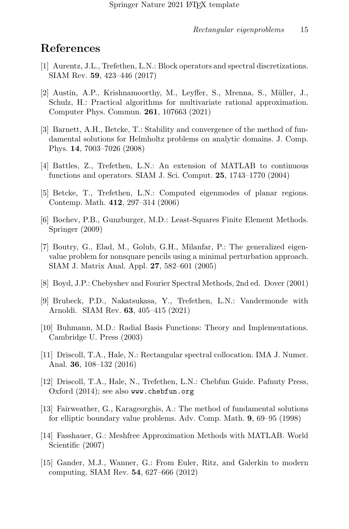### References

- <span id="page-14-11"></span>[1] Aurentz, J.L., Trefethen, L.N.: Block operators and spectral discretizations. SIAM Rev. 59, 423–446 (2017)
- <span id="page-14-13"></span>[2] Austin, A.P., Krishnamoorthy, M., Leyffer, S., Mrenna, S., Müller, J., Schulz, H.: Practical algorithms for multivariate rational approximation. Computer Phys. Commun. 261, 107663 (2021)
- <span id="page-14-3"></span>[3] Barnett, A.H., Betcke, T.: Stability and convergence of the method of fundamental solutions for Helmholtz problems on analytic domains. J. Comp. Phys. 14, 7003–7026 (2008)
- <span id="page-14-8"></span>[4] Battles, Z., Trefethen, L.N.: An extension of MATLAB to continuous functions and operators. SIAM J. Sci. Comput. 25, 1743–1770 (2004)
- <span id="page-14-14"></span>[5] Betcke, T., Trefethen, L.N.: Computed eigenmodes of planar regions. Contemp. Math. 412, 297–314 (2006)
- <span id="page-14-2"></span>[6] Bochev, P.B., Gunzburger, M.D.: Least-Squares Finite Element Methods. Springer (2009)
- <span id="page-14-7"></span>[7] Boutry, G., Elad, M., Golub, G.H., Milanfar, P.: The generalized eigenvalue problem for nonsquare pencils using a minimal perturbation approach. SIAM J. Matrix Anal. Appl. 27, 582–601 (2005)
- <span id="page-14-1"></span>[8] Boyd, J.P.: Chebyshev and Fourier Spectral Methods, 2nd ed. Dover (2001)
- <span id="page-14-12"></span>[9] Brubeck, P.D., Nakatsukasa, Y., Trefethen, L.N.: Vandermonde with Arnoldi. SIAM Rev. 63, 405–415 (2021)
- <span id="page-14-5"></span>[10] Buhmann, M.D.: Radial Basis Functions: Theory and Implementations. Cambridge U. Press (2003)
- <span id="page-14-0"></span>[11] Driscoll, T.A., Hale, N.: Rectangular spectral collocation. IMA J. Numer. Anal. 36, 108–132 (2016)
- <span id="page-14-9"></span>[12] Driscoll, T.A., Hale, N., Trefethen, L.N.: Chebfun Guide. Pafnuty Press, Oxford (2014); see also www.chebfun.org
- <span id="page-14-4"></span>[13] Fairweather, G., Karageorghis, A.: The method of fundamental solutions for elliptic boundary value problems. Adv. Comp. Math. 9, 69–95 (1998)
- <span id="page-14-6"></span>[14] Fasshauer, G.: Meshfree Approximation Methods with MATLAB. World Scientific (2007)
- <span id="page-14-10"></span>[15] Gander, M.J., Wanner, G.: From Euler, Ritz, and Galerkin to modern computing. SIAM Rev. 54, 627–666 (2012)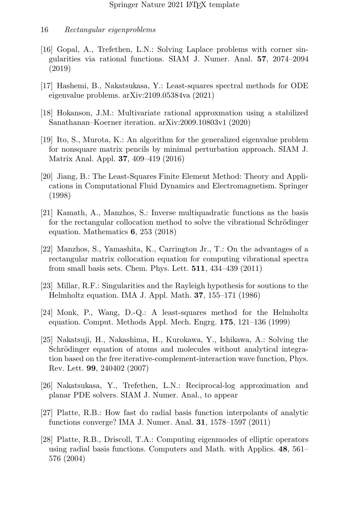- <span id="page-15-2"></span>[16] Gopal, A., Trefethen, L.N.: Solving Laplace problems with corner singularities via rational functions. SIAM J. Numer. Anal. 57, 2074–2094 (2019)
- <span id="page-15-6"></span>[17] Hashemi, B., Nakatsukasa, Y.: Least-squares spectral methods for ODE eigenvalue problems. arXiv:2109.05384va (2021)
- <span id="page-15-11"></span>[18] Hokanson, J.M.: Multivariate rational approxmation using a stabilized Sanathanan–Koerner iteration. arXiv:2009.10803v1 (2020)
- <span id="page-15-7"></span>[19] Ito, S., Murota, K.: An algorithm for the generalized eigenvalue problem for nonsquare matrix pencils by minimal perturbation approach. SIAM J. Matrix Anal. Appl. 37, 409–419 (2016)
- <span id="page-15-0"></span>[20] Jiang, B.: The Least-Squares Finite Element Method: Theory and Applications in Computational Fluid Dynamics and Electromagnetism. Springer (1998)
- <span id="page-15-4"></span>[21] Kamath, A., Manzhos, S.: Inverse multiquadratic functions as the basis for the rectangular collocation method to solve the vibrational Schrödinger equation. Mathematics 6, 253 (2018)
- <span id="page-15-5"></span>[22] Manzhos, S., Yamashita, K., Carrington Jr., T.: On the advantages of a rectangular matrix collocation equation for computing vibrational spectra from small basis sets. Chem. Phys. Lett. 511, 434–439 (2011)
- <span id="page-15-12"></span>[23] Millar, R.F.: Singularities and the Rayleigh hypothesis for soutions to the Helmholtz equation. IMA J. Appl. Math. 37, 155–171 (1986)
- <span id="page-15-1"></span>[24] Monk, P., Wang, D.-Q.: A least-squares method for the Helmholtz equation. Comput. Methods Appl. Mech. Engrg. 175, 121–136 (1999)
- <span id="page-15-8"></span>[25] Nakatsuji, H., Nakashima, H., Kurokawa, Y., Ishikawa, A.: Solving the Schrödinger equation of atoms and molecules without analytical integration based on the free iterative-complement-interaction wave function, Phys. Rev. Lett. 99, 240402 (2007)
- <span id="page-15-3"></span>[26] Nakatsukasa, Y., Trefethen, L.N.: Reciprocal-log approximation and planar PDE solvers. SIAM J. Numer. Anal., to appear
- <span id="page-15-10"></span>[27] Platte, R.B.: How fast do radial basis function interpolants of analytic functions converge? IMA J. Numer. Anal. 31, 1578–1597 (2011)
- <span id="page-15-9"></span>[28] Platte, R.B., Driscoll, T.A.: Computing eigenmodes of elliptic operators using radial basis functions. Computers and Math. with Applics. 48, 561– 576 (2004)